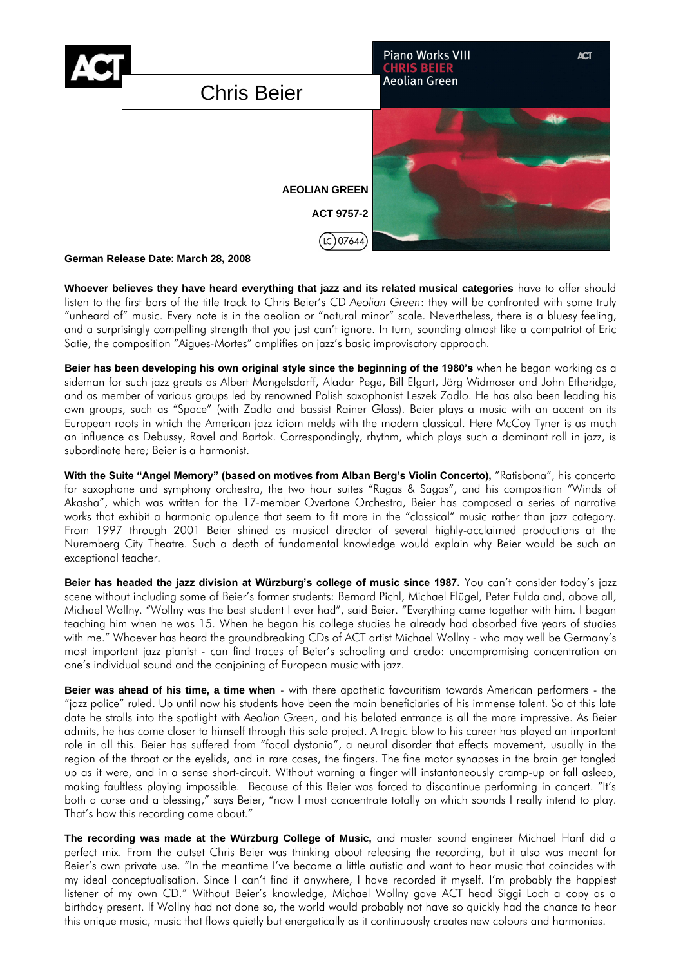

# **German Release Date: March 28, 2008**

**Whoever believes they have heard everything that jazz and its related musical categories** have to offer should listen to the first bars of the title track to Chris Beier's CD *Aeolian Green*: they will be confronted with some truly "unheard of" music. Every note is in the aeolian or "natural minor" scale. Nevertheless, there is a bluesy feeling, and a surprisingly compelling strength that you just can't ignore. In turn, sounding almost like a compatriot of Eric Satie, the composition "Aigues-Mortes" amplifies on jazz's basic improvisatory approach.

**Beier has been developing his own original style since the beginning of the 1980's** when he began working as a sideman for such jazz greats as Albert Mangelsdorff, Aladar Pege, Bill Elgart, Jörg Widmoser and John Etheridge, and as member of various groups led by renowned Polish saxophonist Leszek Zadlo. He has also been leading his own groups, such as "Space" (with Zadlo and bassist Rainer Glass). Beier plays a music with an accent on its European roots in which the American jazz idiom melds with the modern classical. Here McCoy Tyner is as much an influence as Debussy, Ravel and Bartok. Correspondingly, rhythm, which plays such a dominant roll in jazz, is subordinate here; Beier is a harmonist.

With the Suite "Angel Memory" (based on motives from Alban Berg's Violin Concerto), "Ratisbona", his concerto for saxophone and symphony orchestra, the two hour suites "Ragas & Sagas", and his composition "Winds of Akasha", which was written for the 17-member Overtone Orchestra, Beier has composed a series of narrative works that exhibit a harmonic opulence that seem to fit more in the "classical" music rather than jazz category. From 1997 through 2001 Beier shined as musical director of several highly-acclaimed productions at the Nuremberg City Theatre. Such a depth of fundamental knowledge would explain why Beier would be such an exceptional teacher.

**Beier has headed the jazz division at Würzburg's college of music since 1987.** You can't consider today's jazz scene without including some of Beier's former students: Bernard Pichl, Michael Flügel, Peter Fulda and, above all, Michael Wollny. "Wollny was the best student I ever had", said Beier. "Everything came together with him. I began teaching him when he was 15. When he began his college studies he already had absorbed five years of studies with me." Whoever has heard the groundbreaking CDs of ACT artist Michael Wollny - who may well be Germany's most important jazz pianist - can find traces of Beier's schooling and credo: uncompromising concentration on one's individual sound and the conjoining of European music with jazz.

**Beier was ahead of his time, a time when** - with there apathetic favouritism towards American performers - the "jazz police" ruled. Up until now his students have been the main beneficiaries of his immense talent. So at this late date he strolls into the spotlight with *Aeolian Green*, and his belated entrance is all the more impressive. As Beier admits, he has come closer to himself through this solo project. A tragic blow to his career has played an important role in all this. Beier has suffered from "focal dystonia", a neural disorder that effects movement, usually in the region of the throat or the eyelids, and in rare cases, the fingers. The fine motor synapses in the brain get tangled up as it were, and in a sense short-circuit. Without warning a finger will instantaneously cramp-up or fall asleep, making faultless playing impossible. Because of this Beier was forced to discontinue performing in concert. "It's both a curse and a blessing," says Beier, "now I must concentrate totally on which sounds I really intend to play. That's how this recording came about."

**The recording was made at the Würzburg College of Music,** and master sound engineer Michael Hanf did a perfect mix. From the outset Chris Beier was thinking about releasing the recording, but it also was meant for Beier's own private use. "In the meantime I've become a little autistic and want to hear music that coincides with my ideal conceptualisation. Since I can't find it anywhere, I have recorded it myself. I'm probably the happiest listener of my own CD." Without Beier's knowledge, Michael Wollny gave ACT head Siggi Loch a copy as a birthday present. If Wollny had not done so, the world would probably not have so quickly had the chance to hear this unique music, music that flows quietly but energetically as it continuously creates new colours and harmonies.